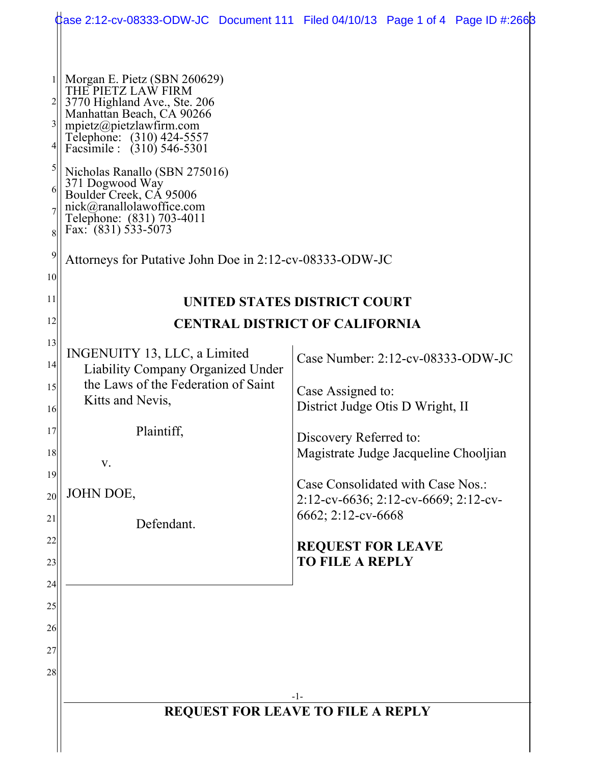|                                                        |                                                                                                                                                                                                                                                                                                                                                                                                                                    | dase 2:12-cv-08333-ODW-JC Document 111 Filed 04/10/13 Page 1 of 4 Page ID #:2668                |  |  |  |  |  |
|--------------------------------------------------------|------------------------------------------------------------------------------------------------------------------------------------------------------------------------------------------------------------------------------------------------------------------------------------------------------------------------------------------------------------------------------------------------------------------------------------|-------------------------------------------------------------------------------------------------|--|--|--|--|--|
| 1<br>$\overline{\mathbf{3}}$<br>5<br>6<br>8<br>9<br>10 | Morgan E. Pietz (SBN 260629)<br>THE PIETZ LAW FIRM<br>3770 Highland Ave., Ste. 206<br>Manhattan Beach, CA 90266<br>mpietz@pietzlawfirm.com<br>Telephone: (310) 424-5557<br>Facsimile : (310) 546-5301<br>Nicholas Ranallo (SBN 275016)<br>371 Dogwood Way<br>Boulder Creek, CÁ 95006<br>nick@ranallolawoffice.com<br>Telephone: (831) 703-4011<br>Fax: $(831) 533-5073$<br>Attorneys for Putative John Doe in 2:12-cv-08333-ODW-JC |                                                                                                 |  |  |  |  |  |
| 11                                                     | UNITED STATES DISTRICT COURT                                                                                                                                                                                                                                                                                                                                                                                                       |                                                                                                 |  |  |  |  |  |
| 12                                                     | <b>CENTRAL DISTRICT OF CALIFORNIA</b>                                                                                                                                                                                                                                                                                                                                                                                              |                                                                                                 |  |  |  |  |  |
| 13<br>14                                               | INGENUITY 13, LLC, a Limited<br>Liability Company Organized Under                                                                                                                                                                                                                                                                                                                                                                  | Case Number: $2:12$ -cv-08333-ODW-JC                                                            |  |  |  |  |  |
| 15<br>16                                               | the Laws of the Federation of Saint<br>Kitts and Nevis,                                                                                                                                                                                                                                                                                                                                                                            | Case Assigned to:<br>District Judge Otis D Wright, II                                           |  |  |  |  |  |
| 17<br>18                                               | Plaintiff,<br>V.                                                                                                                                                                                                                                                                                                                                                                                                                   | Discovery Referred to:<br>Magistrate Judge Jacqueline Chooljian                                 |  |  |  |  |  |
| 19<br>20                                               | JOHN DOE,                                                                                                                                                                                                                                                                                                                                                                                                                          | Case Consolidated with Case Nos.:<br>2:12-cv-6636; 2:12-cv-6669; 2:12-cv-<br>6662; 2:12-cv-6668 |  |  |  |  |  |
| 21<br>22                                               | Defendant.                                                                                                                                                                                                                                                                                                                                                                                                                         | <b>REQUEST FOR LEAVE</b>                                                                        |  |  |  |  |  |
| 23                                                     |                                                                                                                                                                                                                                                                                                                                                                                                                                    | <b>TO FILE A REPLY</b>                                                                          |  |  |  |  |  |
| 24                                                     |                                                                                                                                                                                                                                                                                                                                                                                                                                    |                                                                                                 |  |  |  |  |  |
| 25<br>26                                               |                                                                                                                                                                                                                                                                                                                                                                                                                                    |                                                                                                 |  |  |  |  |  |
| 27                                                     |                                                                                                                                                                                                                                                                                                                                                                                                                                    |                                                                                                 |  |  |  |  |  |
| 28                                                     |                                                                                                                                                                                                                                                                                                                                                                                                                                    |                                                                                                 |  |  |  |  |  |
|                                                        |                                                                                                                                                                                                                                                                                                                                                                                                                                    | -1-                                                                                             |  |  |  |  |  |
|                                                        | <b>REQUEST FOR LEAVE TO FILE A REPLY</b>                                                                                                                                                                                                                                                                                                                                                                                           |                                                                                                 |  |  |  |  |  |
|                                                        |                                                                                                                                                                                                                                                                                                                                                                                                                                    |                                                                                                 |  |  |  |  |  |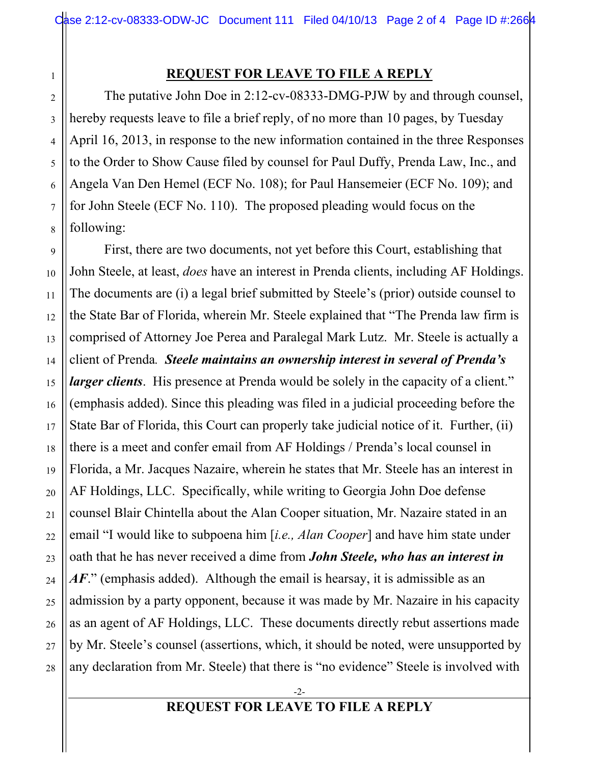## **REQUEST FOR LEAVE TO FILE A REPLY**

1

2

3

4

5

6

7

8

The putative John Doe in 2:12-cv-08333-DMG-PJW by and through counsel, hereby requests leave to file a brief reply, of no more than 10 pages, by Tuesday April 16, 2013, in response to the new information contained in the three Responses to the Order to Show Cause filed by counsel for Paul Duffy, Prenda Law, Inc., and Angela Van Den Hemel (ECF No. 108); for Paul Hansemeier (ECF No. 109); and for John Steele (ECF No. 110). The proposed pleading would focus on the following:

9 10 11 12 13 14 15 16 17 18 19 20 21 22 23 24 25 26 27 28 First, there are two documents, not yet before this Court, establishing that John Steele, at least, *does* have an interest in Prenda clients, including AF Holdings. The documents are (i) a legal brief submitted by Steele's (prior) outside counsel to the State Bar of Florida, wherein Mr. Steele explained that "The Prenda law firm is comprised of Attorney Joe Perea and Paralegal Mark Lutz. Mr. Steele is actually a client of Prenda*. Steele maintains an ownership interest in several of Prenda's larger clients*. His presence at Prenda would be solely in the capacity of a client." (emphasis added). Since this pleading was filed in a judicial proceeding before the State Bar of Florida, this Court can properly take judicial notice of it. Further, (ii) there is a meet and confer email from AF Holdings / Prenda's local counsel in Florida, a Mr. Jacques Nazaire, wherein he states that Mr. Steele has an interest in AF Holdings, LLC. Specifically, while writing to Georgia John Doe defense counsel Blair Chintella about the Alan Cooper situation, Mr. Nazaire stated in an email "I would like to subpoena him [*i.e., Alan Cooper*] and have him state under oath that he has never received a dime from *John Steele, who has an interest in*  AF." (emphasis added). Although the email is hearsay, it is admissible as an admission by a party opponent, because it was made by Mr. Nazaire in his capacity as an agent of AF Holdings, LLC. These documents directly rebut assertions made by Mr. Steele's counsel (assertions, which, it should be noted, were unsupported by any declaration from Mr. Steele) that there is "no evidence" Steele is involved with

## **REQUEST FOR LEAVE TO FILE A REPLY**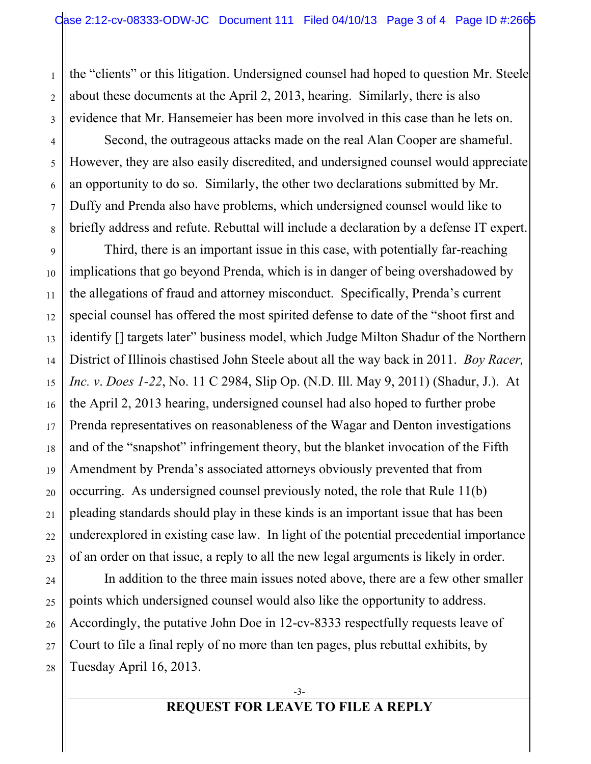the "clients" or this litigation. Undersigned counsel had hoped to question Mr. Steele about these documents at the April 2, 2013, hearing. Similarly, there is also evidence that Mr. Hansemeier has been more involved in this case than he lets on.

1

2

3

4

5

6

7

8

9

10

11

12

13

14

15

16

17

18

19

20

21

22

23

24

25

26

27

28

Second, the outrageous attacks made on the real Alan Cooper are shameful. However, they are also easily discredited, and undersigned counsel would appreciate an opportunity to do so. Similarly, the other two declarations submitted by Mr. Duffy and Prenda also have problems, which undersigned counsel would like to briefly address and refute. Rebuttal will include a declaration by a defense IT expert.

Third, there is an important issue in this case, with potentially far-reaching implications that go beyond Prenda, which is in danger of being overshadowed by the allegations of fraud and attorney misconduct. Specifically, Prenda's current special counsel has offered the most spirited defense to date of the "shoot first and identify [] targets later" business model, which Judge Milton Shadur of the Northern District of Illinois chastised John Steele about all the way back in 2011. *Boy Racer, Inc. v*. *Does 1-22*, No. 11 C 2984, Slip Op. (N.D. Ill. May 9, 2011) (Shadur, J.). At the April 2, 2013 hearing, undersigned counsel had also hoped to further probe Prenda representatives on reasonableness of the Wagar and Denton investigations and of the "snapshot" infringement theory, but the blanket invocation of the Fifth Amendment by Prenda's associated attorneys obviously prevented that from occurring. As undersigned counsel previously noted, the role that Rule 11(b) pleading standards should play in these kinds is an important issue that has been underexplored in existing case law. In light of the potential precedential importance of an order on that issue, a reply to all the new legal arguments is likely in order.

In addition to the three main issues noted above, there are a few other smaller points which undersigned counsel would also like the opportunity to address. Accordingly, the putative John Doe in 12-cv-8333 respectfully requests leave of Court to file a final reply of no more than ten pages, plus rebuttal exhibits, by Tuesday April 16, 2013.

## **REQUEST FOR LEAVE TO FILE A REPLY**